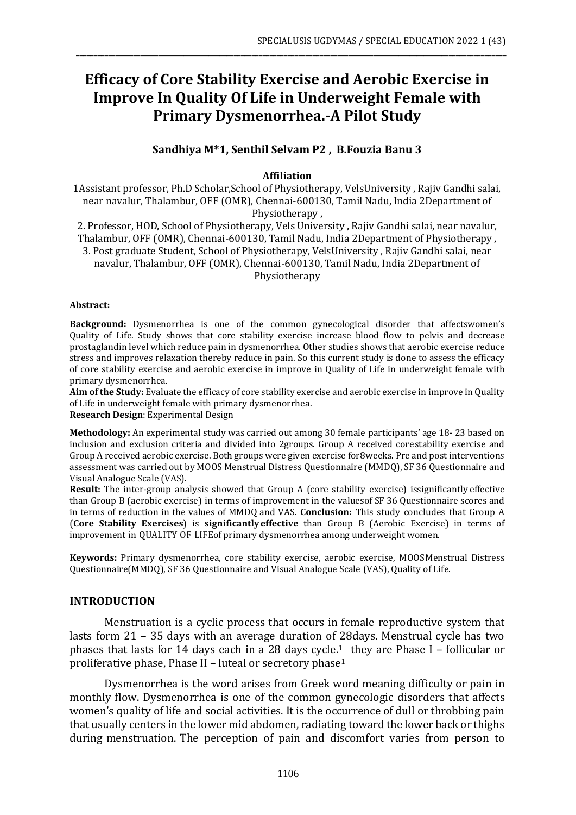# **Efficacy of Core Stability Exercise and Aerobic Exercise in Improve In Quality Of Life in Underweight Female with Primary Dysmenorrhea.-A Pilot Study**

\_\_\_\_\_\_\_\_\_\_\_\_\_\_\_\_\_\_\_\_\_\_\_\_\_\_\_\_\_\_\_\_\_\_\_\_\_\_\_\_\_\_\_\_\_\_\_\_\_\_\_\_\_\_\_\_\_\_\_\_\_\_\_\_\_\_\_\_\_\_\_\_\_\_\_\_\_\_\_\_\_\_\_\_\_\_\_\_\_\_\_\_\_\_\_\_\_\_\_\_\_\_\_\_\_\_\_\_\_\_\_\_\_\_\_\_\_\_\_\_

#### **Sandhiya M\*1, Senthil Selvam P2 , B.Fouzia Banu 3**

#### **Affiliation**

1Assistant professor, Ph.D Scholar,School of Physiotherapy, VelsUniversity , Rajiv Gandhi salai, near navalur, Thalambur, OFF (OMR), Chennai-600130, Tamil Nadu, India 2Department of Physiotherapy ,

2. Professor, HOD, School of Physiotherapy, Vels University , Rajiv Gandhi salai, near navalur, Thalambur, OFF (OMR), Chennai-600130, Tamil Nadu, India 2Department of Physiotherapy , 3. Post graduate Student, School of Physiotherapy, VelsUniversity , Rajiv Gandhi salai, near navalur, Thalambur, OFF (OMR), Chennai-600130, Tamil Nadu, India 2Department of Physiotherapy

#### **Abstract:**

**Background:** Dysmenorrhea is one of the common gynecological disorder that affectswomen's Quality of Life. Study shows that core stability exercise increase blood flow to pelvis and decrease prostaglandin level which reduce pain in dysmenorrhea. Other studies shows that aerobic exercise reduce stress and improves relaxation thereby reduce in pain. So this current study is done to assess the efficacy of core stability exercise and aerobic exercise in improve in Quality of Life in underweight female with primary dysmenorrhea.

**Aim of the Study:** Evaluate the efficacy of core stability exercise and aerobic exercise in improve in Quality of Life in underweight female with primary dysmenorrhea.

**Research Design**: Experimental Design

**Methodology:** An experimental study was carried out among 30 female participants' age 18- 23 based on inclusion and exclusion criteria and divided into 2groups. Group A received corestability exercise and Group A received aerobic exercise. Both groups were given exercise for8weeks. Pre and post interventions assessment was carried out by MOOS Menstrual Distress Questionnaire (MMDQ), SF 36 Questionnaire and Visual Analogue Scale (VAS).

**Result:** The inter-group analysis showed that Group A (core stability exercise) issignificantly effective than Group B (aerobic exercise) in terms of improvement in the valuesof SF 36 Questionnaire scores and in terms of reduction in the values of MMDQ and VAS. **Conclusion:** This study concludes that Group A (**Core Stability Exercises**) is **significantlyeffective** than Group B (Aerobic Exercise) in terms of improvement in QUALITY OF LIFEof primary dysmenorrhea among underweight women.

**Keywords:** Primary dysmenorrhea, core stability exercise, aerobic exercise, MOOSMenstrual Distress Questionnaire(MMDQ), SF 36 Questionnaire and Visual Analogue Scale (VAS), Quality of Life.

#### **INTRODUCTION**

Menstruation is a cyclic process that occurs in female reproductive system that lasts form 21 – 35 days with an average duration of 28days. Menstrual cycle has two phases that lasts for 14 days each in a 28 days cycle.<sup>1</sup> they are Phase I – follicular or proliferative phase, Phase II - luteal or secretory phase<sup>1</sup>

Dysmenorrhea is the word arises from Greek word meaning difficulty or pain in monthly flow. Dysmenorrhea is one of the common gynecologic disorders that affects women's quality of life and social activities. It is the occurrence of dull or throbbing pain that usually centers in the lower mid abdomen, radiating toward the lower back or thighs during menstruation. The perception of pain and discomfort varies from person to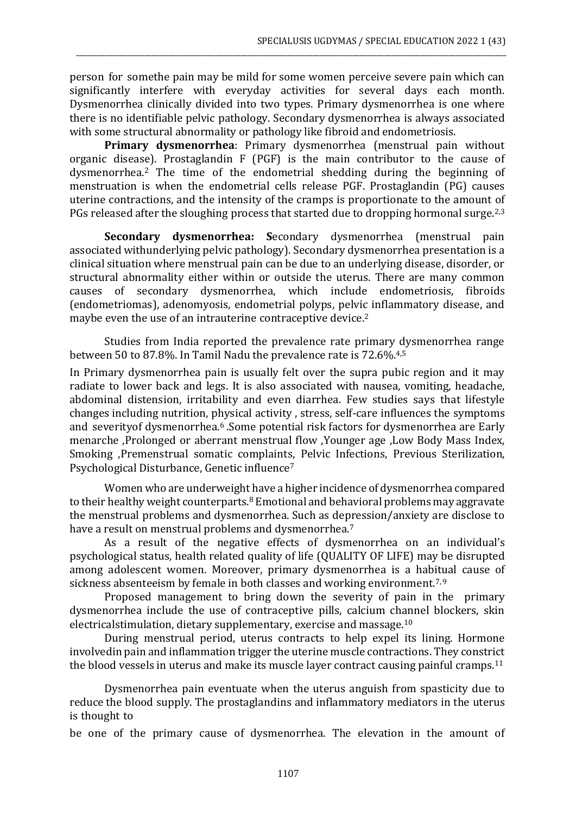person for somethe pain may be mild for some women perceive severe pain which can significantly interfere with everyday activities for several days each month. Dysmenorrhea clinically divided into two types. Primary dysmenorrhea is one where there is no identifiable pelvic pathology. Secondary dysmenorrhea is always associated with some structural abnormality or pathology like fibroid and endometriosis.

\_\_\_\_\_\_\_\_\_\_\_\_\_\_\_\_\_\_\_\_\_\_\_\_\_\_\_\_\_\_\_\_\_\_\_\_\_\_\_\_\_\_\_\_\_\_\_\_\_\_\_\_\_\_\_\_\_\_\_\_\_\_\_\_\_\_\_\_\_\_\_\_\_\_\_\_\_\_\_\_\_\_\_\_\_\_\_\_\_\_\_\_\_\_\_\_\_\_\_\_\_\_\_\_\_\_\_\_\_\_\_\_\_\_\_\_\_\_\_\_

**Primary dysmenorrhea**: Primary dysmenorrhea (menstrual pain without organic disease). Prostaglandin F (PGF) is the main contributor to the cause of dysmenorrhea.<sup>2</sup> The time of the endometrial shedding during the beginning of menstruation is when the endometrial cells release PGF. Prostaglandin (PG) causes uterine contractions, and the intensity of the cramps is proportionate to the amount of PGs released after the sloughing process that started due to dropping hormonal surge.<sup>2,3</sup>

**Secondary dysmenorrhea: S**econdary dysmenorrhea (menstrual pain associated withunderlying pelvic pathology). Secondary dysmenorrhea presentation is a clinical situation where menstrual pain can be due to an underlying disease, disorder, or structural abnormality either within or outside the uterus. There are many common causes of secondary dysmenorrhea, which include endometriosis, fibroids (endometriomas), adenomyosis, endometrial polyps, pelvic inflammatory disease, and maybe even the use of an intrauterine contraceptive device.<sup>2</sup>

Studies from India reported the prevalence rate primary dysmenorrhea range between 50 to 87.8%. In Tamil Nadu the prevalence rate is 72.6%.4,5

In Primary dysmenorrhea pain is usually felt over the supra pubic region and it may radiate to lower back and legs. It is also associated with nausea, vomiting, headache, abdominal distension, irritability and even diarrhea. Few studies says that lifestyle changes including nutrition, physical activity , stress, self-care influences the symptoms and severity of dysmenorrhea.<sup>6</sup> .Some potential risk factors for dysmenorrhea are Early menarche ,Prolonged or aberrant menstrual flow ,Younger age ,Low Body Mass Index, Smoking ,Premenstrual somatic complaints, Pelvic Infections, Previous Sterilization, Psychological Disturbance, Genetic influence<sup>7</sup>

Women who are underweight have a higher incidence of dysmenorrhea compared to their healthy weight counterparts. $8$  Emotional and behavioral problems may aggravate the menstrual problems and dysmenorrhea. Such as depression/anxiety are disclose to have a result on menstrual problems and dysmenorrhea.<sup>7</sup>

As a result of the negative effects of dysmenorrhea on an individual's psychological status, health related quality of life (QUALITY OF LIFE) may be disrupted among adolescent women. Moreover, primary dysmenorrhea is a habitual cause of sickness absenteeism by female in both classes and working environment.<sup>7, 9</sup>

Proposed management to bring down the severity of pain in the primary dysmenorrhea include the use of contraceptive pills, calcium channel blockers, skin electricalstimulation, dietary supplementary, exercise and massage.<sup>10</sup>

During menstrual period, uterus contracts to help expel its lining. Hormone involvedin pain and inflammation trigger the uterine muscle contractions. They constrict the blood vessels in uterus and make its muscle layer contract causing painful cramps.<sup>11</sup>

Dysmenorrhea pain eventuate when the uterus anguish from spasticity due to reduce the blood supply. The prostaglandins and inflammatory mediators in the uterus is thought to

be one of the primary cause of dysmenorrhea. The elevation in the amount of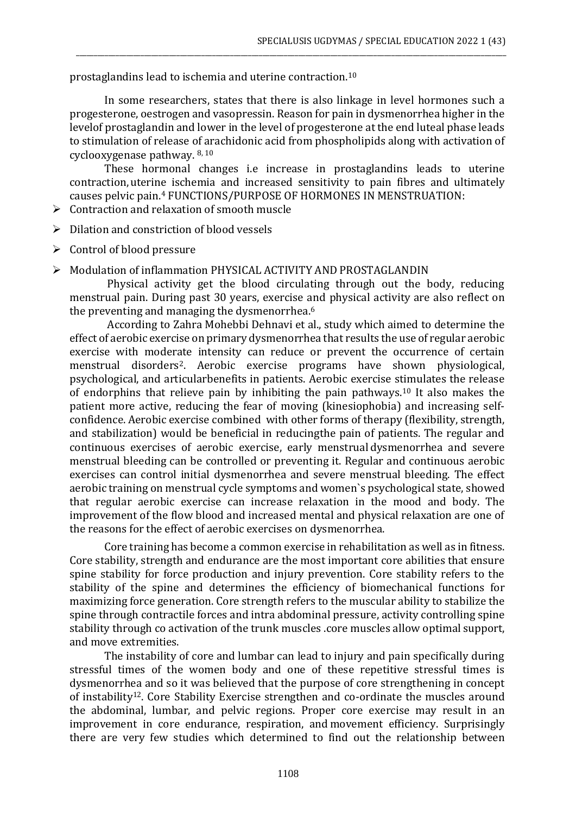prostaglandins lead to ischemia and uterine contraction.<sup>10</sup>

In some researchers, states that there is also linkage in level hormones such a progesterone, oestrogen and vasopressin. Reason for pain in dysmenorrhea higher in the levelof prostaglandin and lower in the level of progesterone at the end luteal phase leads to stimulation of release of arachidonic acid from phospholipids along with activation of cyclooxygenase pathway. 8, <sup>10</sup>

\_\_\_\_\_\_\_\_\_\_\_\_\_\_\_\_\_\_\_\_\_\_\_\_\_\_\_\_\_\_\_\_\_\_\_\_\_\_\_\_\_\_\_\_\_\_\_\_\_\_\_\_\_\_\_\_\_\_\_\_\_\_\_\_\_\_\_\_\_\_\_\_\_\_\_\_\_\_\_\_\_\_\_\_\_\_\_\_\_\_\_\_\_\_\_\_\_\_\_\_\_\_\_\_\_\_\_\_\_\_\_\_\_\_\_\_\_\_\_\_

These hormonal changes i.e increase in prostaglandins leads to uterine contraction,uterine ischemia and increased sensitivity to pain fibres and ultimately causes pelvic pain.<sup>4</sup> FUNCTIONS/PURPOSE OF HORMONES IN MENSTRUATION:

- ➢ Contraction and relaxation of smooth muscle
- ➢ Dilation and constriction of blood vessels
- $\triangleright$  Control of blood pressure
- ➢ Modulation of inflammation PHYSICAL ACTIVITY AND PROSTAGLANDIN

Physical activity get the blood circulating through out the body, reducing menstrual pain. During past 30 years, exercise and physical activity are also reflect on the preventing and managing the dysmenorrhea.<sup>6</sup>

According to Zahra Mohebbi Dehnavi et al., study which aimed to determine the effect of aerobic exercise on primary dysmenorrhea that results the use of regular aerobic exercise with moderate intensity can reduce or prevent the occurrence of certain menstrual disorders2. Aerobic exercise programs have shown physiological, psychological, and articularbenefits in patients. Aerobic exercise stimulates the release of endorphins that relieve pain by inhibiting the pain pathways.<sup>10</sup> It also makes the patient more active, reducing the fear of moving (kinesiophobia) and increasing selfconfidence. Aerobic exercise combined with other forms of therapy (flexibility, strength, and stabilization) would be beneficial in reducingthe pain of patients. The regular and continuous exercises of aerobic exercise, early menstrual dysmenorrhea and severe menstrual bleeding can be controlled or preventing it. Regular and continuous aerobic exercises can control initial dysmenorrhea and severe menstrual bleeding. The effect aerobic training on menstrual cycle symptoms and women`s psychological state, showed that regular aerobic exercise can increase relaxation in the mood and body. The improvement of the flow blood and increased mental and physical relaxation are one of the reasons for the effect of aerobic exercises on dysmenorrhea.

Core training has become a common exercise in rehabilitation as well as in fitness. Core stability, strength and endurance are the most important core abilities that ensure spine stability for force production and injury prevention. Core stability refers to the stability of the spine and determines the efficiency of biomechanical functions for maximizing force generation. Core strength refers to the muscular ability to stabilize the spine through contractile forces and intra abdominal pressure, activity controlling spine stability through co activation of the trunk muscles .core muscles allow optimal support, and move extremities.

The instability of core and lumbar can lead to injury and pain specifically during stressful times of the women body and one of these repetitive stressful times is dysmenorrhea and so it was believed that the purpose of core strengthening in concept of instability12. Core Stability Exercise strengthen and co-ordinate the muscles around the abdominal, lumbar, and pelvic regions. Proper core exercise may result in an improvement in core endurance, respiration, and movement efficiency. Surprisingly there are very few studies which determined to find out the relationship between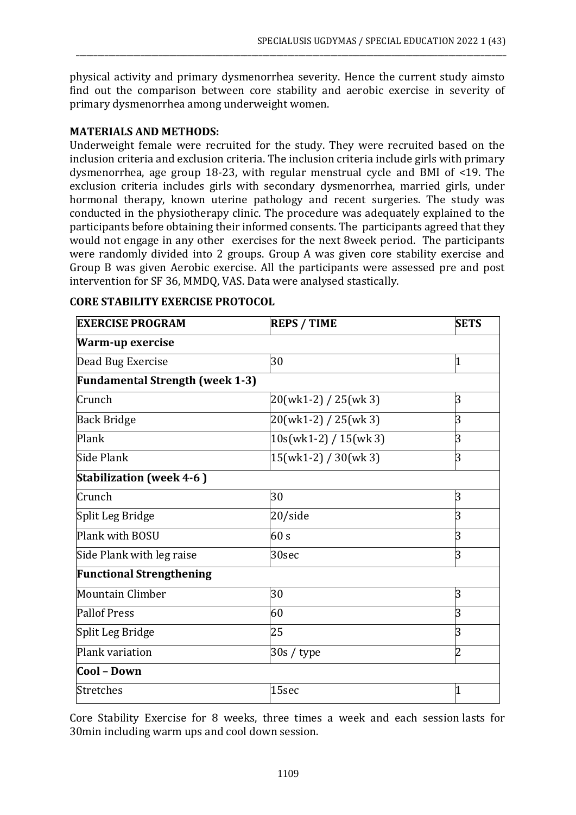physical activity and primary dysmenorrhea severity. Hence the current study aimsto find out the comparison between core stability and aerobic exercise in severity of primary dysmenorrhea among underweight women.

\_\_\_\_\_\_\_\_\_\_\_\_\_\_\_\_\_\_\_\_\_\_\_\_\_\_\_\_\_\_\_\_\_\_\_\_\_\_\_\_\_\_\_\_\_\_\_\_\_\_\_\_\_\_\_\_\_\_\_\_\_\_\_\_\_\_\_\_\_\_\_\_\_\_\_\_\_\_\_\_\_\_\_\_\_\_\_\_\_\_\_\_\_\_\_\_\_\_\_\_\_\_\_\_\_\_\_\_\_\_\_\_\_\_\_\_\_\_\_\_

## **MATERIALS AND METHODS:**

Underweight female were recruited for the study. They were recruited based on the inclusion criteria and exclusion criteria. The inclusion criteria include girls with primary dysmenorrhea, age group 18-23, with regular menstrual cycle and BMI of <19. The exclusion criteria includes girls with secondary dysmenorrhea, married girls, under hormonal therapy, known uterine pathology and recent surgeries. The study was conducted in the physiotherapy clinic. The procedure was adequately explained to the participants before obtaining their informed consents. The participants agreed that they would not engage in any other exercises for the next 8week period. The participants were randomly divided into 2 groups. Group A was given core stability exercise and Group B was given Aerobic exercise. All the participants were assessed pre and post intervention for SF 36, MMDQ, VAS. Data were analysed stastically.

| <b>EXERCISE PROGRAM</b>                | <b>REPS / TIME</b>      |                |
|----------------------------------------|-------------------------|----------------|
| Warm-up exercise                       |                         |                |
| Dead Bug Exercise                      | 30                      | 1              |
| <b>Fundamental Strength (week 1-3)</b> |                         |                |
| Crunch                                 | 20(wk1-2) / 25(wk 3)    | 3              |
| <b>Back Bridge</b>                     | $20(wk1-2) / 25(wk3)$   | 3              |
| Plank                                  | $10s(wk1-2) / 15(wk 3)$ | 3              |
| Side Plank                             | $15(wk1-2) / 30(wk3)$   | 3              |
| <b>Stabilization (week 4-6)</b>        |                         |                |
| Crunch                                 | 30                      | 3              |
| Split Leg Bridge                       | 20/side                 | 3              |
| Plank with BOSU                        | 60 s                    | 3              |
| Side Plank with leg raise              | 30sec                   | 3              |
| <b>Functional Strengthening</b>        |                         |                |
| Mountain Climber                       | 30                      | 3              |
| <b>Pallof Press</b>                    | 60                      | 3              |
| Split Leg Bridge                       | 25                      | 3              |
| Plank variation                        | 30s / type              | $\overline{2}$ |
| Cool - Down                            |                         |                |
| Stretches                              | 15sec                   | 1              |

## **CORE STABILITY EXERCISE PROTOCOL**

Core Stability Exercise for 8 weeks, three times a week and each session lasts for 30min including warm ups and cool down session.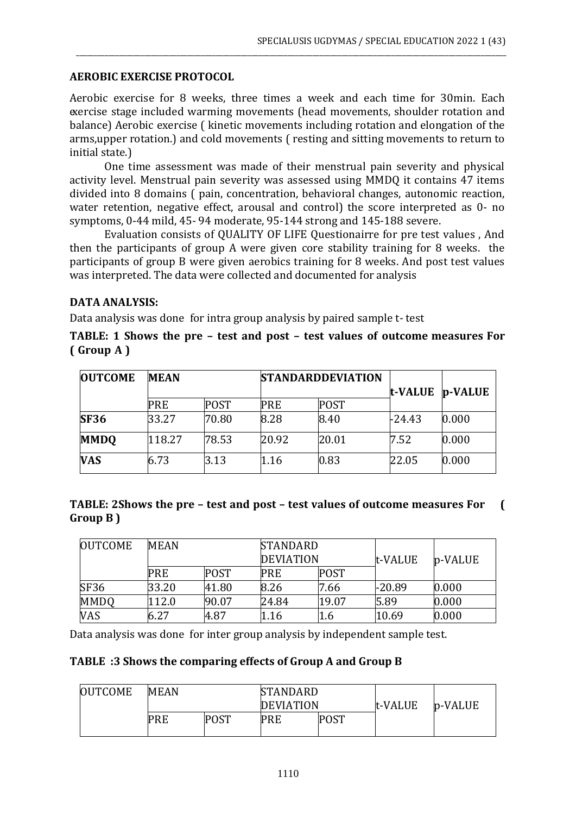## **AEROBIC EXERCISE PROTOCOL**

Aerobic exercise for 8 weeks, three times a week and each time for 30min. Each exercise stage included warming movements (head movements, shoulder rotation and balance) Aerobic exercise ( kinetic movements including rotation and elongation of the arms,upper rotation.) and cold movements ( resting and sitting movements to return to initial state.)

\_\_\_\_\_\_\_\_\_\_\_\_\_\_\_\_\_\_\_\_\_\_\_\_\_\_\_\_\_\_\_\_\_\_\_\_\_\_\_\_\_\_\_\_\_\_\_\_\_\_\_\_\_\_\_\_\_\_\_\_\_\_\_\_\_\_\_\_\_\_\_\_\_\_\_\_\_\_\_\_\_\_\_\_\_\_\_\_\_\_\_\_\_\_\_\_\_\_\_\_\_\_\_\_\_\_\_\_\_\_\_\_\_\_\_\_\_\_\_\_

One time assessment was made of their menstrual pain severity and physical activity level. Menstrual pain severity was assessed using MMDQ it contains 47 items divided into 8 domains ( pain, concentration, behavioral changes, autonomic reaction, water retention, negative effect, arousal and control) the score interpreted as 0- no symptoms, 0-44 mild, 45- 94 moderate, 95-144 strong and 145-188 severe.

Evaluation consists of QUALITY OF LIFE Questionairre for pre test values , And then the participants of group A were given core stability training for 8 weeks. the participants of group B were given aerobics training for 8 weeks. And post test values was interpreted. The data were collected and documented for analysis

## **DATA ANALYSIS:**

Data analysis was done for intra group analysis by paired sample t- test

**TABLE: 1 Shows the pre – test and post – test values of outcome measures For ( Group A )**

| <b>OUTCOME</b> | <b>MEAN</b> |             |       | <b>STANDARDDEVIATION</b><br>t-VALUE |        | p-VALUE |
|----------------|-------------|-------------|-------|-------------------------------------|--------|---------|
|                | <b>PRE</b>  | <b>POST</b> | PRE   | <b>POST</b>                         |        |         |
| <b>SF36</b>    | 33.27       | 70.80       | 8.28  | 8.40                                | -24.43 | 0.000   |
| <b>MMDO</b>    | 118.27      | 78.53       | 20.92 | 20.01                               | 7.52   | 0.000   |
| <b>VAS</b>     | 6.73        | 3.13        | 1.16  | 0.83                                | 22.05  | 0.000   |

| TABLE: 2Shows the pre - test and post - test values of outcome measures For |  |
|-----------------------------------------------------------------------------|--|
| Group B)                                                                    |  |

| <b>OUTCOME</b> | <b>MEAN</b> |             |       | <b>STANDARD</b><br><b>DEVIATION</b> |          | p-VALUE |
|----------------|-------------|-------------|-------|-------------------------------------|----------|---------|
|                | <b>PRE</b>  | <b>POST</b> | PRE   | <b>POST</b>                         | t-VALUE  |         |
| <b>SF36</b>    | 33.20       | 41.80       | 8.26  | 7.66                                | $-20.89$ | 0.000   |
| <b>MMDQ</b>    | 112.0       | 90.07       | 24.84 | 19.07                               | 5.89     | 0.000   |
| <b>VAS</b>     | 6.27        | 4.87        | 1.16  | 1.6                                 | 10.69    | 0.000   |

Data analysis was done for inter group analysis by independent sample test.

## **TABLE :3 Shows the comparing effects of Group A and Group B**

| <b>OUTCOME</b> | <b>MEAN</b> |             | <b>STANDARD</b><br><b>DEVIATION</b> |  | t-VALUE | p-VALUE |
|----------------|-------------|-------------|-------------------------------------|--|---------|---------|
|                | <b>PRE</b>  | <b>POST</b> | <b>POST</b><br><b>PRE</b>           |  |         |         |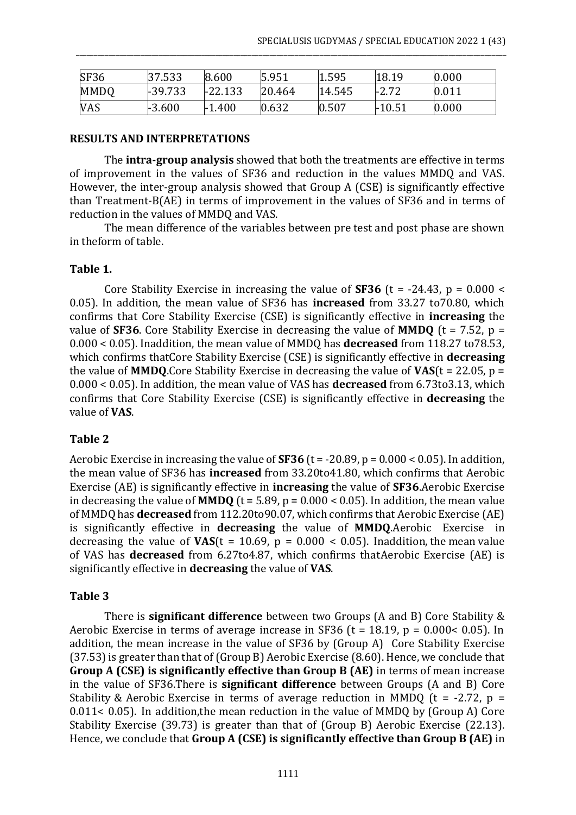| SF36        | 37.533    | 8.600     | 5.951  | 1.595  | 18.19           | 0.000 |
|-------------|-----------|-----------|--------|--------|-----------------|-------|
| <b>MMDQ</b> | $+39.733$ | $-22.133$ | 20.464 | 14.545 | .2.ZG<br>$-L.I$ | 0.011 |
| VAS         | $-3.600$  | $-1.400$  | 0.632  | 0.507  | $-10.51$        | 0.000 |

\_\_\_\_\_\_\_\_\_\_\_\_\_\_\_\_\_\_\_\_\_\_\_\_\_\_\_\_\_\_\_\_\_\_\_\_\_\_\_\_\_\_\_\_\_\_\_\_\_\_\_\_\_\_\_\_\_\_\_\_\_\_\_\_\_\_\_\_\_\_\_\_\_\_\_\_\_\_\_\_\_\_\_\_\_\_\_\_\_\_\_\_\_\_\_\_\_\_\_\_\_\_\_\_\_\_\_\_\_\_\_\_\_\_\_\_\_\_\_\_

#### **RESULTS AND INTERPRETATIONS**

The **intra-group analysis** showed that both the treatments are effective in terms of improvement in the values of SF36 and reduction in the values MMDQ and VAS. However, the inter-group analysis showed that Group A (CSE) is significantly effective than Treatment-B(AE) in terms of improvement in the values of SF36 and in terms of reduction in the values of MMDQ and VAS.

The mean difference of the variables between pre test and post phase are shown in theform of table.

#### **Table 1.**

Core Stability Exercise in increasing the value of **SF36** (t = -24.43, p = 0.000 < 0.05). In addition, the mean value of SF36 has **increased** from 33.27 to70.80, which confirms that Core Stability Exercise (CSE) is significantly effective in **increasing** the value of **SF36**. Core Stability Exercise in decreasing the value of **MMDQ** ( $t = 7.52$ ,  $p =$ 0.000 < 0.05). Inaddition, the mean value of MMDQ has **decreased** from 118.27 to78.53, which confirms thatCore Stability Exercise (CSE) is significantly effective in **decreasing**  the value of **MMDQ**.Core Stability Exercise in decreasing the value of  $VAS(t = 22.05, p =$ 0.000 < 0.05). In addition, the mean value of VAS has **decreased** from 6.73to3.13, which confirms that Core Stability Exercise (CSE) is significantly effective in **decreasing** the value of **VAS**.

#### **Table 2**

Aerobic Exercise in increasing the value of **SF36** (t = -20.89, p = 0.000 < 0.05). In addition, the mean value of SF36 has **increased** from 33.20to41.80, which confirms that Aerobic Exercise (AE) is significantly effective in **increasing** the value of **SF36**.Aerobic Exercise in decreasing the value of **MMDQ** ( $t = 5.89$ ,  $p = 0.000 < 0.05$ ). In addition, the mean value of MMDQ has **decreased** from 112.20to90.07, which confirms that Aerobic Exercise (AE) is significantly effective in **decreasing** the value of **MMDQ**.Aerobic Exercise in decreasing the value of  $VAS(t = 10.69, p = 0.000 < 0.05)$ . Inaddition, the mean value of VAS has **decreased** from 6.27to4.87, which confirms thatAerobic Exercise (AE) is significantly effective in **decreasing** the value of **VAS**.

## **Table 3**

There is **significant difference** between two Groups (A and B) Core Stability & Aerobic Exercise in terms of average increase in SF36 (t = 18.19, p = 0.000< 0.05). In addition, the mean increase in the value of SF36 by (Group A) Core Stability Exercise (37.53) is greater than that of (Group B) Aerobic Exercise (8.60). Hence, we conclude that **Group A (CSE) is significantly effective than Group B (AE)** in terms of mean increase in the value of SF36.There is **significant difference** between Groups (A and B) Core Stability & Aerobic Exercise in terms of average reduction in MMDQ ( $t = -2.72$ ,  $p =$ 0.011< 0.05). In addition,the mean reduction in the value of MMDQ by (Group A) Core Stability Exercise (39.73) is greater than that of (Group B) Aerobic Exercise (22.13). Hence, we conclude that **Group A (CSE) is significantly effective than Group B (AE)** in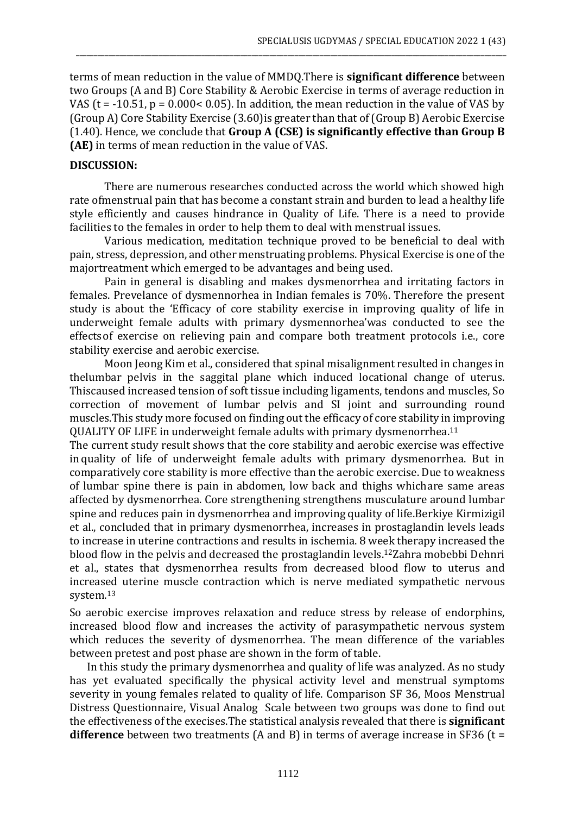terms of mean reduction in the value of MMDQ.There is **significant difference** between two Groups (A and B) Core Stability & Aerobic Exercise in terms of average reduction in VAS ( $t = -10.51$ ,  $p = 0.000 < 0.05$ ). In addition, the mean reduction in the value of VAS by (Group A) Core Stability Exercise (3.60)is greater than that of (Group B) Aerobic Exercise (1.40). Hence, we conclude that **Group A (CSE) is significantly effective than Group B (AE)** in terms of mean reduction in the value of VAS.

\_\_\_\_\_\_\_\_\_\_\_\_\_\_\_\_\_\_\_\_\_\_\_\_\_\_\_\_\_\_\_\_\_\_\_\_\_\_\_\_\_\_\_\_\_\_\_\_\_\_\_\_\_\_\_\_\_\_\_\_\_\_\_\_\_\_\_\_\_\_\_\_\_\_\_\_\_\_\_\_\_\_\_\_\_\_\_\_\_\_\_\_\_\_\_\_\_\_\_\_\_\_\_\_\_\_\_\_\_\_\_\_\_\_\_\_\_\_\_\_

#### **DISCUSSION:**

There are numerous researches conducted across the world which showed high rate ofmenstrual pain that has become a constant strain and burden to lead a healthy life style efficiently and causes hindrance in Quality of Life. There is a need to provide facilities to the females in order to help them to deal with menstrual issues.

Various medication, meditation technique proved to be beneficial to deal with pain, stress, depression, and other menstruating problems. Physical Exercise is one of the majortreatment which emerged to be advantages and being used.

Pain in general is disabling and makes dysmenorrhea and irritating factors in females. Prevelance of dysmennorhea in Indian females is 70%. Therefore the present study is about the 'Efficacy of core stability exercise in improving quality of life in underweight female adults with primary dysmennorhea'was conducted to see the effectsof exercise on relieving pain and compare both treatment protocols i.e., core stability exercise and aerobic exercise.

Moon Jeong Kim et al., considered that spinal misalignment resulted in changes in thelumbar pelvis in the saggital plane which induced locational change of uterus. Thiscaused increased tension of soft tissue including ligaments, tendons and muscles, So correction of movement of lumbar pelvis and SI joint and surrounding round muscles.This study more focused on finding out the efficacy of core stability in improving QUALITY OF LIFE in underweight female adults with primary dysmenorrhea.<sup>11</sup>

The current study result shows that the core stability and aerobic exercise was effective in quality of life of underweight female adults with primary dysmenorrhea. But in comparatively core stability is more effective than the aerobic exercise. Due to weakness of lumbar spine there is pain in abdomen, low back and thighs whichare same areas affected by dysmenorrhea. Core strengthening strengthens musculature around lumbar spine and reduces pain in dysmenorrhea and improving quality of life.Berkiye Kirmizigil et al., concluded that in primary dysmenorrhea, increases in prostaglandin levels leads to increase in uterine contractions and results in ischemia. 8 week therapy increased the blood flow in the pelvis and decreased the prostaglandin levels.12Zahra mobebbi Dehnri et al., states that dysmenorrhea results from decreased blood flow to uterus and increased uterine muscle contraction which is nerve mediated sympathetic nervous system.<sup>13</sup>

So aerobic exercise improves relaxation and reduce stress by release of endorphins, increased blood flow and increases the activity of parasympathetic nervous system which reduces the severity of dysmenorrhea. The mean difference of the variables between pretest and post phase are shown in the form of table.

In this study the primary dysmenorrhea and quality of life was analyzed. As no study has yet evaluated specifically the physical activity level and menstrual symptoms severity in young females related to quality of life. Comparison SF 36, Moos Menstrual Distress Questionnaire, Visual Analog Scale between two groups was done to find out the effectiveness of the execises.The statistical analysis revealed that there is **significant difference** between two treatments (A and B) in terms of average increase in SF36 (t =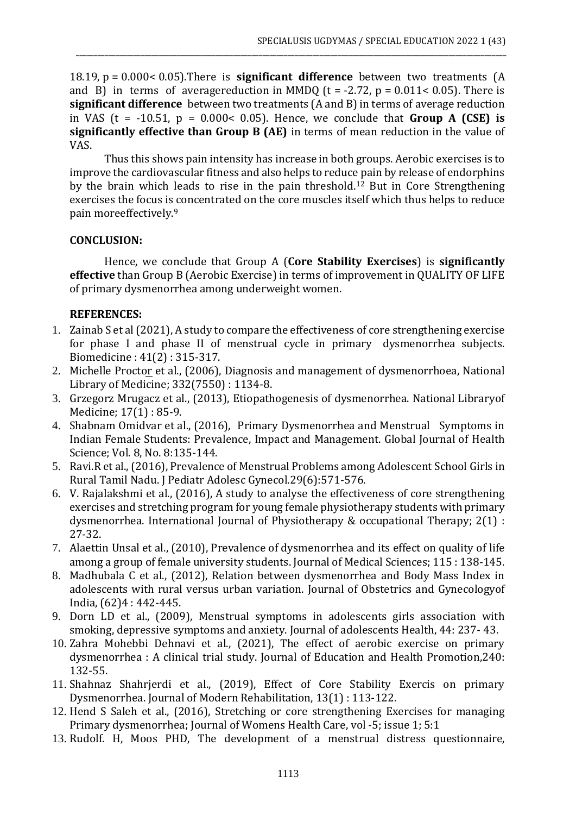18.19, p = 0.000< 0.05).There is **significant difference** between two treatments (A and B) in terms of averagereduction in MMDQ ( $t = -2.72$ ,  $p = 0.011 < 0.05$ ). There is **significant difference** between two treatments (A and B) in terms of average reduction in VAS ( $t = -10.51$ ,  $p = 0.000 < 0.05$ ). Hence, we conclude that **Group A (CSE) is significantly effective than Group B (AE)** in terms of mean reduction in the value of VAS.

\_\_\_\_\_\_\_\_\_\_\_\_\_\_\_\_\_\_\_\_\_\_\_\_\_\_\_\_\_\_\_\_\_\_\_\_\_\_\_\_\_\_\_\_\_\_\_\_\_\_\_\_\_\_\_\_\_\_\_\_\_\_\_\_\_\_\_\_\_\_\_\_\_\_\_\_\_\_\_\_\_\_\_\_\_\_\_\_\_\_\_\_\_\_\_\_\_\_\_\_\_\_\_\_\_\_\_\_\_\_\_\_\_\_\_\_\_\_\_\_

Thus this shows pain intensity has increase in both groups. Aerobic exercises is to improve the cardiovascular fitness and also helps to reduce pain by release of endorphins by the brain which leads to rise in the pain threshold.<sup>12</sup> But in Core Strengthening exercises the focus is concentrated on the core muscles itself which thus helps to reduce pain moreeffectively.<sup>9</sup>

## **CONCLUSION:**

Hence, we conclude that Group A (**Core Stability Exercises**) is **significantly effective** than Group B (Aerobic Exercise) in terms of improvement in QUALITY OF LIFE of primary dysmenorrhea among underweight women.

## **REFERENCES:**

- 1. Zainab S et al (2021), A study to compare the effectiveness of core strengthening exercise for phase I and phase II of menstrual cycle in primary dysmenorrhea subjects. Biomedicine : 41(2) : 315-317.
- 2. Michelle Proctor et al., (2006), Diagnosis and management of dysmenorrhoea, National Library of Medicine; 332(7550) : 1134-8.
- 3. Grzegorz Mrugacz et al., (2013), Etiopathogenesis of dysmenorrhea. National Libraryof Medicine; 17(1) : 85-9.
- 4. Shabnam Omidvar et al., (2016), Primary Dysmenorrhea and Menstrual Symptoms in Indian Female Students: Prevalence, Impact and Management. Global Journal of Health Science; Vol. 8, No. 8:135-144.
- 5. Ravi.R et al., (2016), Prevalence of Menstrual Problems among Adolescent School Girls in Rural Tamil Nadu. J Pediatr Adolesc Gynecol.29(6):571-576.
- 6. V. Rajalakshmi et al., (2016), A study to analyse the effectiveness of core strengthening exercises and stretching program for young female physiotherapy students with primary dysmenorrhea. International Journal of Physiotherapy & occupational Therapy; 2(1) : 27-32.
- 7. Alaettin Unsal et al., (2010), Prevalence of dysmenorrhea and its effect on quality of life among a group of female university students. Journal of Medical Sciences; 115 : 138-145.
- 8. Madhubala C et al., (2012), Relation between dysmenorrhea and Body Mass Index in adolescents with rural versus urban variation. Journal of Obstetrics and Gynecologyof India, (62)4 : 442-445.
- 9. Dorn LD et al., (2009), Menstrual symptoms in adolescents girls association with smoking, depressive symptoms and anxiety. Journal of adolescents Health, 44: 237- 43.
- 10. Zahra Mohebbi Dehnavi et al., (2021), The effect of aerobic exercise on primary dysmenorrhea : A clinical trial study. Journal of Education and Health Promotion,240: 132-55.
- 11. Shahnaz Shahrjerdi et al., (2019), Effect of Core Stability Exercis on primary Dysmenorrhea. Journal of Modern Rehabilitation, 13(1) : 113-122.
- 12. Hend S Saleh et al., (2016), Stretching or core strengthening Exercises for managing Primary dysmenorrhea; Journal of Womens Health Care, vol -5; issue 1; 5:1
- 13. Rudolf. H, Moos PHD, The development of a menstrual distress questionnaire,